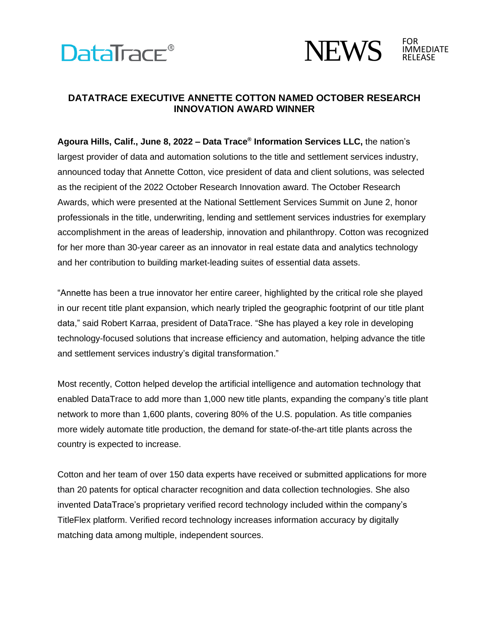



## **DATATRACE EXECUTIVE ANNETTE COTTON NAMED OCTOBER RESEARCH INNOVATION AWARD WINNER**

**Agoura Hills, Calif., June 8, 2022 – Data Trace® Information Services LLC,** the nation's largest provider of data and automation solutions to the title and settlement services industry, announced today that Annette Cotton, vice president of data and client solutions, was selected as the recipient of the 2022 October Research Innovation award. The October Research Awards, which were presented at the National Settlement Services Summit on June 2, honor professionals in the title, underwriting, lending and settlement services industries for exemplary accomplishment in the areas of leadership, innovation and philanthropy. Cotton was recognized for her more than 30-year career as an innovator in real estate data and analytics technology and her contribution to building market-leading suites of essential data assets.

"Annette has been a true innovator her entire career, highlighted by the critical role she played in our recent title plant expansion, which nearly tripled the geographic footprint of our title plant data," said Robert Karraa, president of DataTrace. "She has played a key role in developing technology-focused solutions that increase efficiency and automation, helping advance the title and settlement services industry's digital transformation."

Most recently, Cotton helped develop the artificial intelligence and automation technology that enabled DataTrace to add more than 1,000 new title plants, expanding the company's title plant network to more than 1,600 plants, covering 80% of the U.S. population. As title companies more widely automate title production, the demand for state-of-the-art title plants across the country is expected to increase.

Cotton and her team of over 150 data experts have received or submitted applications for more than 20 patents for optical character recognition and data collection technologies. She also invented DataTrace's proprietary verified record technology included within the company's TitleFlex platform. Verified record technology increases information accuracy by digitally matching data among multiple, independent sources.